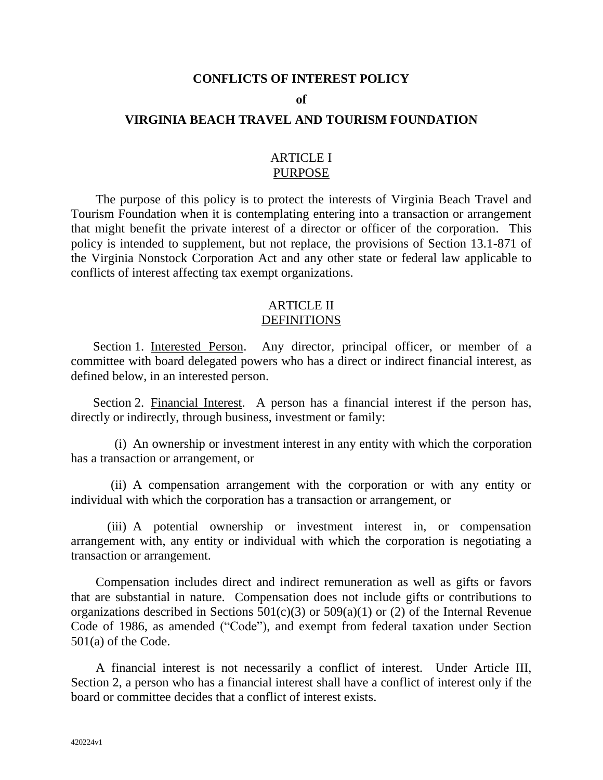#### **CONFLICTS OF INTEREST POLICY**

#### **of**

# **VIRGINIA BEACH TRAVEL AND TOURISM FOUNDATION**

# ARTICLE I PURPOSE

The purpose of this policy is to protect the interests of Virginia Beach Travel and Tourism Foundation when it is contemplating entering into a transaction or arrangement that might benefit the private interest of a director or officer of the corporation. This policy is intended to supplement, but not replace, the provisions of Section 13.1-871 of the Virginia Nonstock Corporation Act and any other state or federal law applicable to conflicts of interest affecting tax exempt organizations.

### ARTICLE II **DEFINITIONS**

Section 1. Interested Person. Any director, principal officer, or member of a committee with board delegated powers who has a direct or indirect financial interest, as defined below, in an interested person.

Section 2. Financial Interest. A person has a financial interest if the person has, directly or indirectly, through business, investment or family:

(i) An ownership or investment interest in any entity with which the corporation has a transaction or arrangement, or

(ii) A compensation arrangement with the corporation or with any entity or individual with which the corporation has a transaction or arrangement, or

(iii) A potential ownership or investment interest in, or compensation arrangement with, any entity or individual with which the corporation is negotiating a transaction or arrangement.

Compensation includes direct and indirect remuneration as well as gifts or favors that are substantial in nature. Compensation does not include gifts or contributions to organizations described in Sections  $501(c)(3)$  or  $509(a)(1)$  or (2) of the Internal Revenue Code of 1986, as amended ("Code"), and exempt from federal taxation under Section 501(a) of the Code.

A financial interest is not necessarily a conflict of interest. Under Article III, Section 2, a person who has a financial interest shall have a conflict of interest only if the board or committee decides that a conflict of interest exists.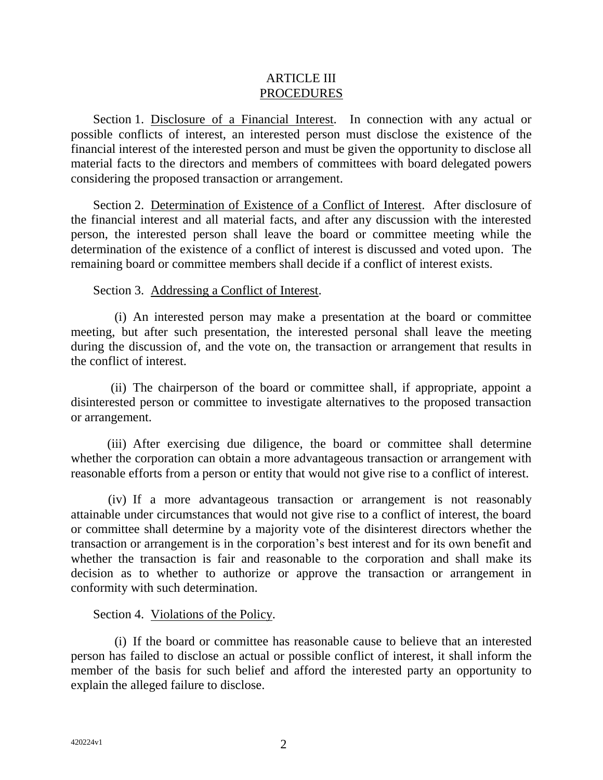# ARTICLE III PROCEDURES

Section 1. Disclosure of a Financial Interest. In connection with any actual or possible conflicts of interest, an interested person must disclose the existence of the financial interest of the interested person and must be given the opportunity to disclose all material facts to the directors and members of committees with board delegated powers considering the proposed transaction or arrangement.

Section 2. Determination of Existence of a Conflict of Interest. After disclosure of the financial interest and all material facts, and after any discussion with the interested person, the interested person shall leave the board or committee meeting while the determination of the existence of a conflict of interest is discussed and voted upon. The remaining board or committee members shall decide if a conflict of interest exists.

# Section 3. Addressing a Conflict of Interest.

(i) An interested person may make a presentation at the board or committee meeting, but after such presentation, the interested personal shall leave the meeting during the discussion of, and the vote on, the transaction or arrangement that results in the conflict of interest.

(ii) The chairperson of the board or committee shall, if appropriate, appoint a disinterested person or committee to investigate alternatives to the proposed transaction or arrangement.

(iii) After exercising due diligence, the board or committee shall determine whether the corporation can obtain a more advantageous transaction or arrangement with reasonable efforts from a person or entity that would not give rise to a conflict of interest.

(iv) If a more advantageous transaction or arrangement is not reasonably attainable under circumstances that would not give rise to a conflict of interest, the board or committee shall determine by a majority vote of the disinterest directors whether the transaction or arrangement is in the corporation's best interest and for its own benefit and whether the transaction is fair and reasonable to the corporation and shall make its decision as to whether to authorize or approve the transaction or arrangement in conformity with such determination.

# Section 4. Violations of the Policy.

(i) If the board or committee has reasonable cause to believe that an interested person has failed to disclose an actual or possible conflict of interest, it shall inform the member of the basis for such belief and afford the interested party an opportunity to explain the alleged failure to disclose.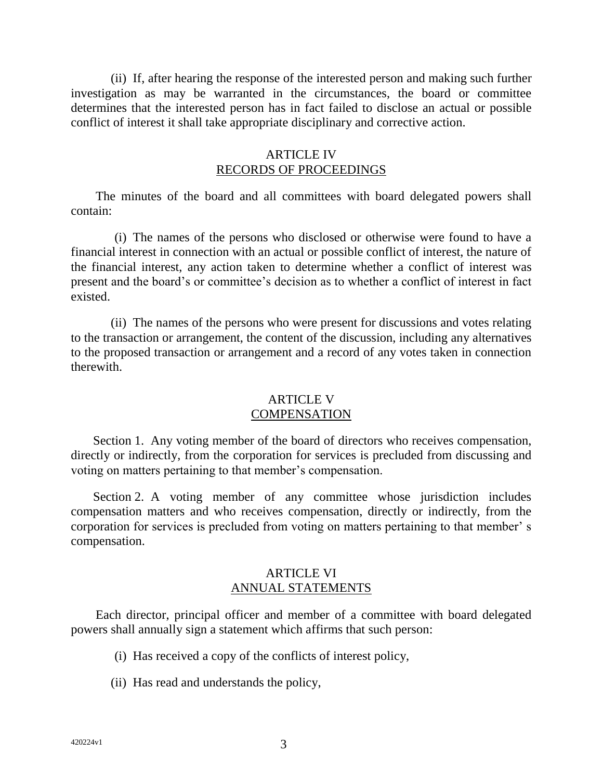(ii) If, after hearing the response of the interested person and making such further investigation as may be warranted in the circumstances, the board or committee determines that the interested person has in fact failed to disclose an actual or possible conflict of interest it shall take appropriate disciplinary and corrective action.

# **ARTICLE IV** RECORDS OF PROCEEDINGS

The minutes of the board and all committees with board delegated powers shall contain:

(i) The names of the persons who disclosed or otherwise were found to have a financial interest in connection with an actual or possible conflict of interest, the nature of the financial interest, any action taken to determine whether a conflict of interest was present and the board's or committee's decision as to whether a conflict of interest in fact existed.

(ii) The names of the persons who were present for discussions and votes relating to the transaction or arrangement, the content of the discussion, including any alternatives to the proposed transaction or arrangement and a record of any votes taken in connection therewith.

# ARTICLE V **COMPENSATION**

Section 1. Any voting member of the board of directors who receives compensation, directly or indirectly, from the corporation for services is precluded from discussing and voting on matters pertaining to that member's compensation.

Section 2. A voting member of any committee whose jurisdiction includes compensation matters and who receives compensation, directly or indirectly, from the corporation for services is precluded from voting on matters pertaining to that member' s compensation.

# ARTICLE VI ANNUAL STATEMENTS

Each director, principal officer and member of a committee with board delegated powers shall annually sign a statement which affirms that such person:

- (i) Has received a copy of the conflicts of interest policy,
- (ii) Has read and understands the policy,